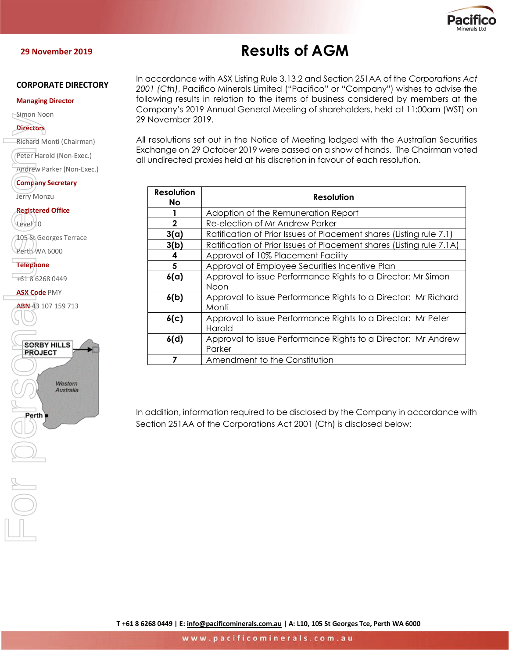

#### **29 November 2019**

#### **CORPORATE DIRECTORY**

#### **Managing Director**

Simon Noon

#### **Directors**

Richard Monti (Chairman)

Peter Harold (Non-Exec.)

Andrew Parker (Non-Exec.)

**Company Secretary** Jerry Monzu

**Registered Office**

Level 10

105 St Georges Terrace Perth WA 6000

**Telephone**

+61 8 6268 0449

**ASX Code** PMY

ABN-43 107 159 713



# **Results of AGM**

In accordance with ASX Listing Rule 3.13.2 and Section 251AA of the *Corporations Act 2001 (Cth)*, Pacifico Minerals Limited ("Pacifico" or "Company") wishes to advise the following results in relation to the items of business considered by members at the Company's 2019 Annual General Meeting of shareholders, held at 11:00am (WST) on 29 November 2019.

All resolutions set out in the Notice of Meeting lodged with the Australian Securities Exchange on 29 October 2019 were passed on a show of hands. The Chairman voted all undirected proxies held at his discretion in favour of each resolution.

| Resolution<br>No. | Resolution                                                              |
|-------------------|-------------------------------------------------------------------------|
|                   | Adoption of the Remuneration Report                                     |
| $\mathbf{2}$      | Re-election of Mr Andrew Parker                                         |
| 3(a)              | Ratification of Prior Issues of Placement shares (Listing rule 7.1)     |
| 3(b)              | Ratification of Prior Issues of Placement shares (Listing rule 7.1A)    |
| 4                 | Approval of 10% Placement Facility                                      |
| 5                 | Approval of Employee Securities Incentive Plan                          |
| 6(a)              | Approval to issue Performance Rights to a Director: Mr Simon<br>Noon    |
| 6(b)              | Approval to issue Performance Rights to a Director: Mr Richard<br>Monti |
| 6(c)              | Approval to issue Performance Rights to a Director: Mr Peter<br>Harold  |
| 6(d)              | Approval to issue Performance Rights to a Director: Mr Andrew<br>Parker |
|                   | Amendment to the Constitution                                           |

In addition, information required to be disclosed by the Company in accordance with Section 251AA of the Corporations Act 2001 (Cth) is disclosed below: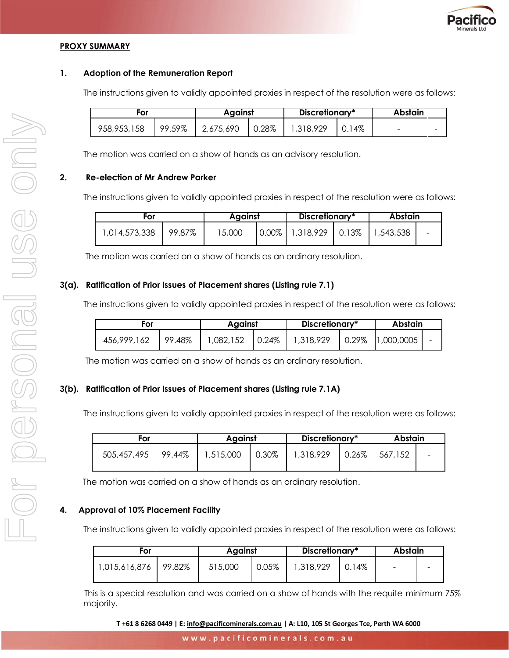

### **PROXY SUMMARY**

#### **1. Adoption of the Remuneration Report**

The instructions given to validly appointed proxies in respect of the resolution were as follows:

| For         |        | Against   |       | Discretionary* |     | Abstain                  |   |
|-------------|--------|-----------|-------|----------------|-----|--------------------------|---|
| 958,953,158 | 99.59% | 2,675,690 | 0.28% | 1,318,929      | 14% | $\overline{\phantom{a}}$ | - |

The motion was carried on a show of hands as an advisory resolution.

#### **2. Re-election of Mr Andrew Parker**

The instructions given to validly appointed proxies in respect of the resolution were as follows:

| For           |        |        | Against |                              | Discretionary* | Abstain   |                          |
|---------------|--------|--------|---------|------------------------------|----------------|-----------|--------------------------|
| 1,014,573,338 | 99.87% | 15,000 |         | $0.00\%$   1,318,929   0.13% |                | 1,543,538 | $\overline{\phantom{0}}$ |

The motion was carried on a show of hands as an ordinary resolution.

#### **3(a). Ratification of Prior Issues of Placement shares (Listing rule 7.1)**

The instructions given to validly appointed proxies in respect of the resolution were as follows:

| For         |        |           | Against |           | Discretionary* |                               | Abstain |  |
|-------------|--------|-----------|---------|-----------|----------------|-------------------------------|---------|--|
| 456,999,162 | 99.48% | 1,082,152 | 0.24%   | 1,318,929 |                | $\mid 0.29\% \mid 1,000,0005$ |         |  |

The motion was carried on a show of hands as an ordinary resolution.

#### **3(b). Ratification of Prior Issues of Placement shares (Listing rule 7.1A)**

The instructions given to validly appointed proxies in respect of the resolution were as follows:

| ror                  |  | Aaainst   |       | Discretionary* |          | <b>Abstain</b> |   |
|----------------------|--|-----------|-------|----------------|----------|----------------|---|
| 505,457,495   99.44% |  | 1,515,000 | 0.30% | 1,318,929      | $0.26\%$ | 1567,152       | - |

The motion was carried on a show of hands as an ordinary resolution.

#### **4. Approval of 10% Placement Facility**

The instructions given to validly appointed proxies in respect of the resolution were as follows:

| For           |        | Against |       | Discretionary* |     | Abstain  |  |
|---------------|--------|---------|-------|----------------|-----|----------|--|
| 1,015,616,876 | 99.82% | 515,000 | 0.05% | 1,318,929      | 14% | $\equiv$ |  |

 This is a special resolution and was carried on a show of hands with the requite minimum 75% majority.

**T +61 8 6268 0449 | E: [info@pacificominerals.com.au](mailto:info@pacificominerals.com.au) | A: L10, 105 St Georges Tce, Perth WA 6000**

www.pacificominerals.com.au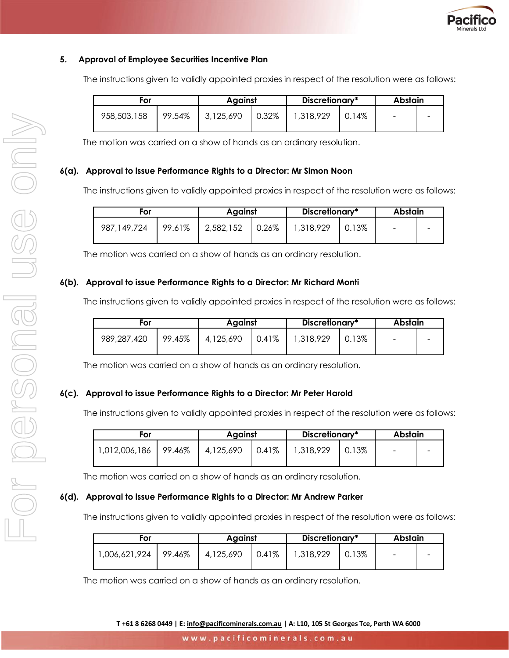

## **5. Approval of Employee Securities Incentive Plan**

The instructions given to validly appointed proxies in respect of the resolution were as follows:

| For         |        | Against   |       | Discretionary* |     | Abstain                  |  |
|-------------|--------|-----------|-------|----------------|-----|--------------------------|--|
| 958,503,158 | 99.54% | 3,125,690 | 0.32% | 1,318,929      | 14% | $\overline{\phantom{0}}$ |  |

The motion was carried on a show of hands as an ordinary resolution.

#### **6(a). Approval to issue Performance Rights to a Director: Mr Simon Noon**

The instructions given to validly appointed proxies in respect of the resolution were as follows:

| For           |        | Against   |          | Discretionary* |       | Abstain                  |  |
|---------------|--------|-----------|----------|----------------|-------|--------------------------|--|
| 987, 149, 724 | 99.61% | 2,582,152 | $0.26\%$ | 1,318,929      | 0.13% | $\overline{\phantom{0}}$ |  |

The motion was carried on a show of hands as an ordinary resolution.

#### **6(b). Approval to issue Performance Rights to a Director: Mr Richard Monti**

The instructions given to validly appointed proxies in respect of the resolution were as follows:

| For         |        | Against   |       | Discretionary* |       | Abstain                  |  |
|-------------|--------|-----------|-------|----------------|-------|--------------------------|--|
| 989,287,420 | 99.45% | 4,125,690 | 0.41% | 1,318,929      | 0.13% | $\overline{\phantom{a}}$ |  |

The motion was carried on a show of hands as an ordinary resolution.

## **6(c). Approval to issue Performance Rights to a Director: Mr Peter Harold**

The instructions given to validly appointed proxies in respect of the resolution were as follows:

| For                  |  | Against   |       | Discretionary* |       | Abstain                  |  |
|----------------------|--|-----------|-------|----------------|-------|--------------------------|--|
| 1,012,006,186 99.46% |  | 4,125,690 | 0.41% | 1,318,929      | 0.13% | $\overline{\phantom{0}}$ |  |

The motion was carried on a show of hands as an ordinary resolution.

#### **6(d). Approval to issue Performance Rights to a Director: Mr Andrew Parker**

The instructions given to validly appointed proxies in respect of the resolution were as follows:

| For                  |  | Against   |       | Discretionary* |       | Abstain |  |
|----------------------|--|-----------|-------|----------------|-------|---------|--|
| 1,006,621,924 99.46% |  | 4,125,690 | 0.41% | 1,318,929      | 0.13% |         |  |

The motion was carried on a show of hands as an ordinary resolution.